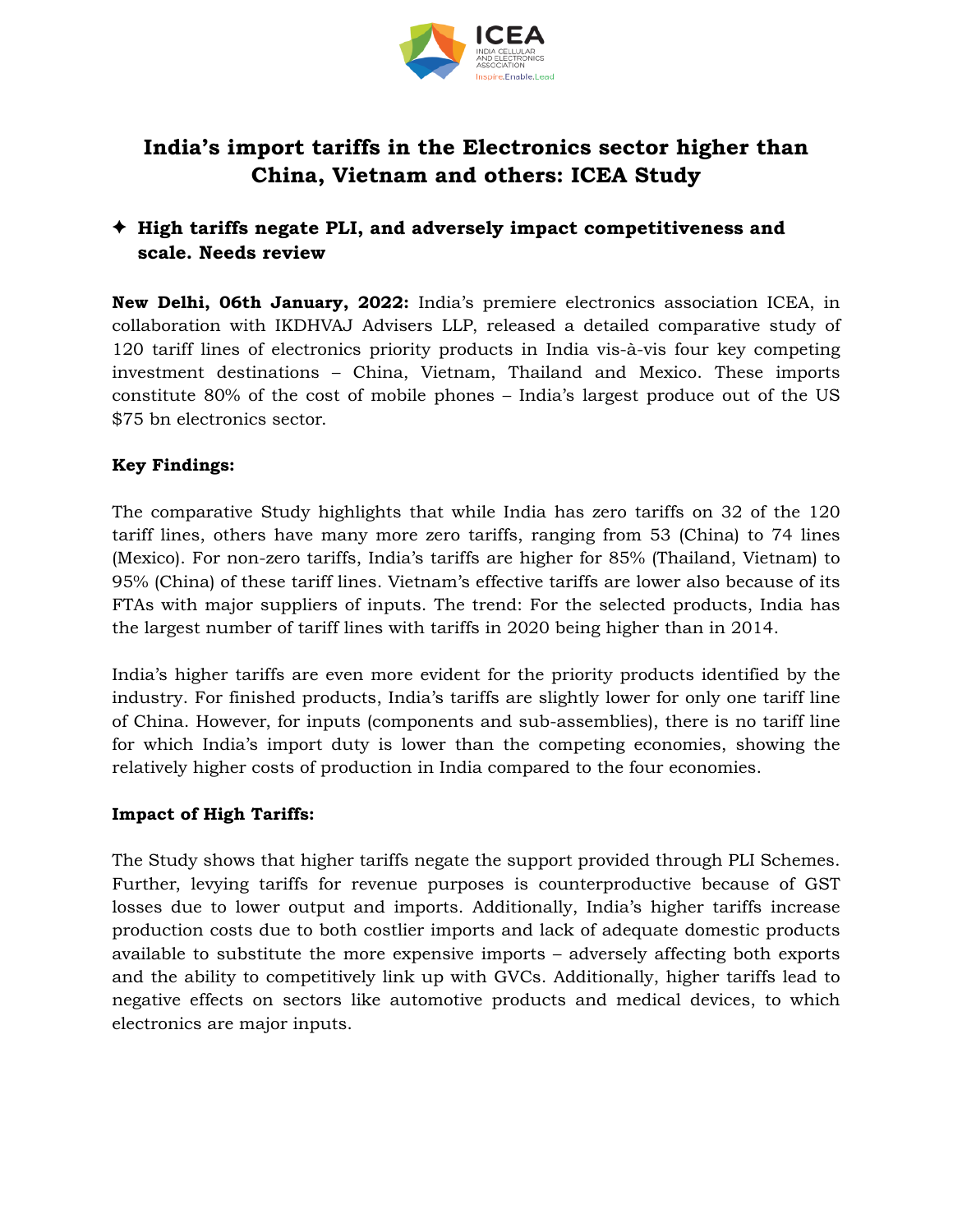

# **India's import tariffs in the Electronics sector higher than China, Vietnam and others: ICEA Study**

# ✦ **High tariffs negate PLI, and adversely impact competitiveness and scale. Needs review**

**New Delhi, 06th January, 2022:** India's premiere electronics association ICEA, in collaboration with IKDHVAJ Advisers LLP, released a detailed comparative study of 120 tariff lines of electronics priority products in India vis-à-vis four key competing investment destinations – China, Vietnam, Thailand and Mexico. These imports constitute 80% of the cost of mobile phones – India's largest produce out of the US \$75 bn electronics sector.

## **Key Findings:**

The comparative Study highlights that while India has zero tariffs on 32 of the 120 tariff lines, others have many more zero tariffs, ranging from 53 (China) to 74 lines (Mexico). For non-zero tariffs, India's tariffs are higher for 85% (Thailand, Vietnam) to 95% (China) of these tariff lines. Vietnam's effective tariffs are lower also because of its FTAs with major suppliers of inputs. The trend: For the selected products, India has the largest number of tariff lines with tariffs in 2020 being higher than in 2014.

India's higher tariffs are even more evident for the priority products identified by the industry. For finished products, India's tariffs are slightly lower for only one tariff line of China. However, for inputs (components and sub-assemblies), there is no tariff line for which India's import duty is lower than the competing economies, showing the relatively higher costs of production in India compared to the four economies.

#### **Impact of High Tariffs:**

The Study shows that higher tariffs negate the support provided through PLI Schemes. Further, levying tariffs for revenue purposes is counterproductive because of GST losses due to lower output and imports. Additionally, India's higher tariffs increase production costs due to both costlier imports and lack of adequate domestic products available to substitute the more expensive imports – adversely affecting both exports and the ability to competitively link up with GVCs. Additionally, higher tariffs lead to negative effects on sectors like automotive products and medical devices, to which electronics are major inputs.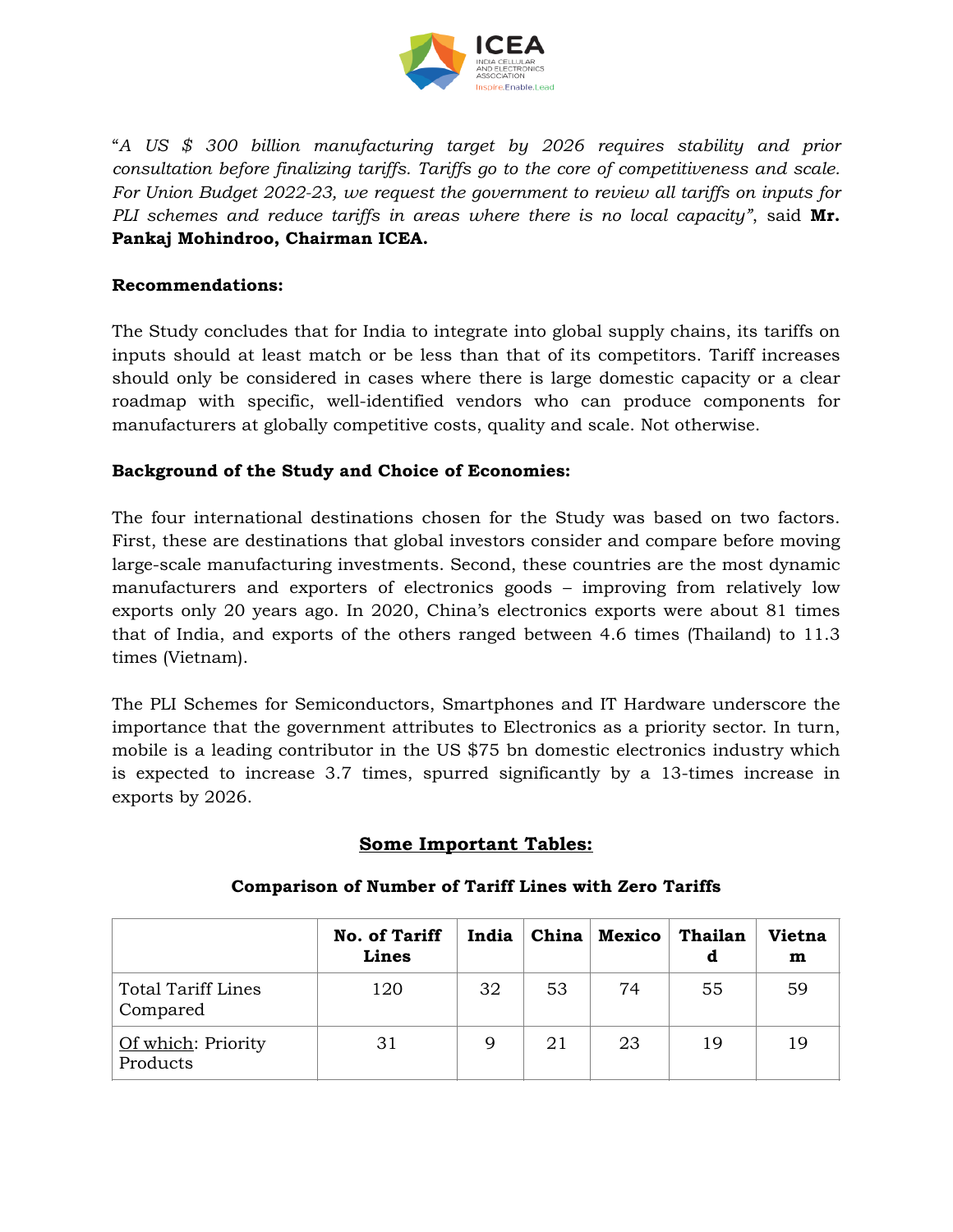

"*A US \$ 300 billion manufacturing target by 2026 requires stability and prior consultation before finalizing tariffs. Tariffs go to the core of competitiveness and scale. For Union Budget 2022-23, we request the government to review all tariffs on inputs for PLI schemes and reduce tariffs in areas where there is no local capacity"*, said **Mr. Pankaj Mohindroo, Chairman ICEA.**

#### **Recommendations:**

The Study concludes that for India to integrate into global supply chains, its tariffs on inputs should at least match or be less than that of its competitors. Tariff increases should only be considered in cases where there is large domestic capacity or a clear roadmap with specific, well-identified vendors who can produce components for manufacturers at globally competitive costs, quality and scale. Not otherwise.

## **Background of the Study and Choice of Economies:**

The four international destinations chosen for the Study was based on two factors. First, these are destinations that global investors consider and compare before moving large-scale manufacturing investments. Second, these countries are the most dynamic manufacturers and exporters of electronics goods – improving from relatively low exports only 20 years ago. In 2020, China's electronics exports were about 81 times that of India, and exports of the others ranged between 4.6 times (Thailand) to 11.3 times (Vietnam).

The PLI Schemes for Semiconductors, Smartphones and IT Hardware underscore the importance that the government attributes to Electronics as a priority sector. In turn, mobile is a leading contributor in the US \$75 bn domestic electronics industry which is expected to increase 3.7 times, spurred significantly by a 13-times increase in exports by 2026.

# **Some Important Tables:**

|                                       | <b>No. of Tariff</b><br>Lines | India | China | <b>Mexico</b> | Thailan<br>d | <b>Vietna</b><br>m |
|---------------------------------------|-------------------------------|-------|-------|---------------|--------------|--------------------|
| <b>Total Tariff Lines</b><br>Compared | 120                           | 32    | 53    | 74            | 55           | 59                 |
| Of which: Priority<br>Products        | 31                            | 9     | 21    | 23            | 19           | 19                 |

#### **Comparison of Number of Tariff Lines with Zero Tariffs**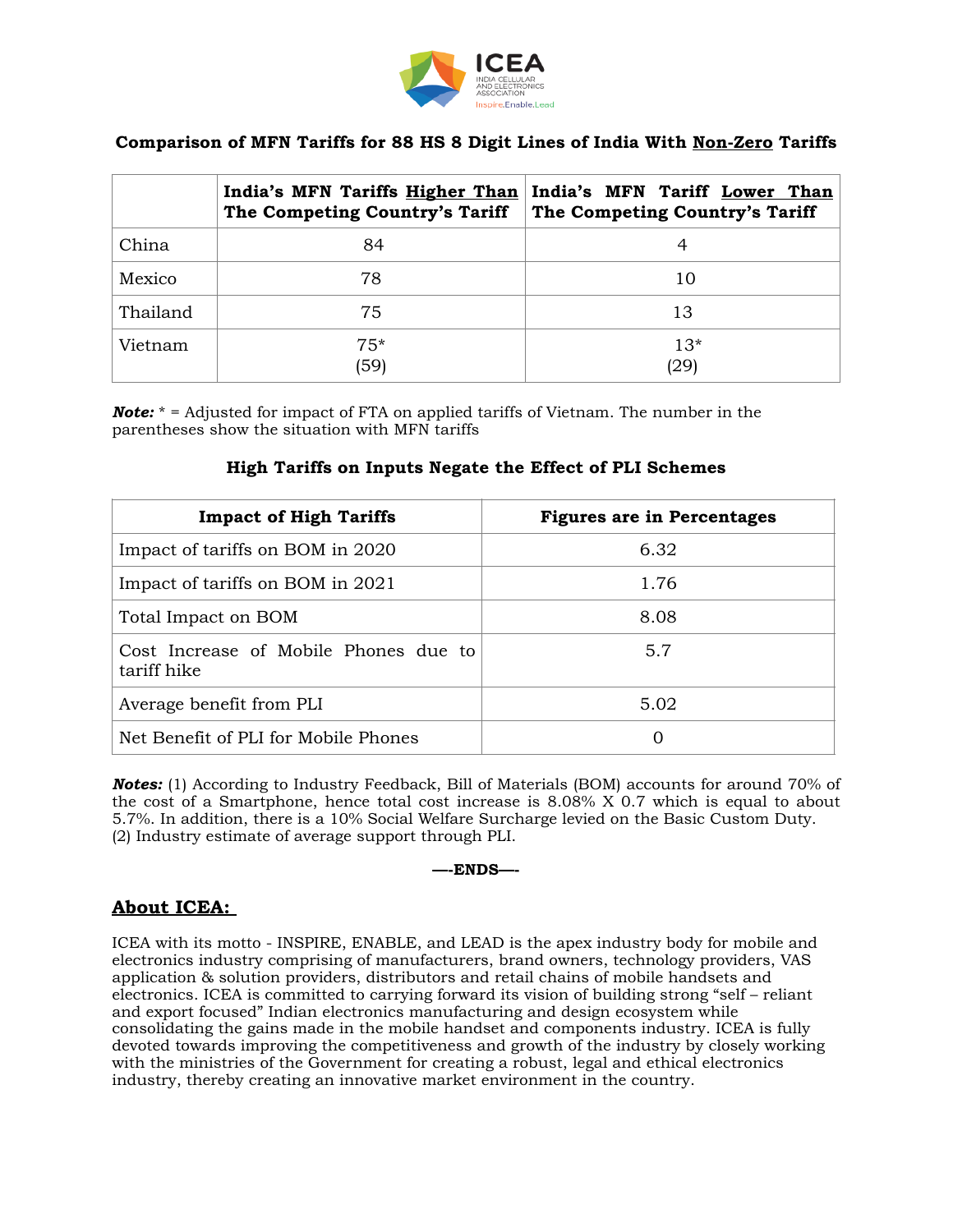

## **Comparison of MFN Tariffs for 88 HS 8 Digit Lines of India With Non-Zero Tariffs**

|          | India's MFN Tariffs Higher Than<br>The Competing Country's Tariff | India's MFN Tariff Lower Than<br>The Competing Country's Tariff |
|----------|-------------------------------------------------------------------|-----------------------------------------------------------------|
| China    | 84                                                                | 4                                                               |
| Mexico   | 78                                                                | 10                                                              |
| Thailand | 75                                                                | 13                                                              |
| Vietnam  | $75*$<br>(59)                                                     | $13*$<br>(29)                                                   |

*Note:* \* = Adjusted for impact of FTA on applied tariffs of Vietnam. The number in the parentheses show the situation with MFN tariffs

#### **High Tariffs on Inputs Negate the Effect of PLI Schemes**

| <b>Impact of High Tariffs</b>                        | <b>Figures are in Percentages</b> |
|------------------------------------------------------|-----------------------------------|
| Impact of tariffs on BOM in 2020                     | 6.32                              |
| Impact of tariffs on BOM in 2021                     | 1.76                              |
| Total Impact on BOM                                  | 8.08                              |
| Cost Increase of Mobile Phones due to<br>tariff hike | 5.7                               |
| Average benefit from PLI                             | 5.02                              |
| Net Benefit of PLI for Mobile Phones                 | 0                                 |

**Notes:** (1) According to Industry Feedback, Bill of Materials (BOM) accounts for around 70% of the cost of a Smartphone, hence total cost increase is 8.08% X 0.7 which is equal to about 5.7%. In addition, there is a 10% Social Welfare Surcharge levied on the Basic Custom Duty. (2) Industry estimate of average support through PLI.

#### **—-ENDS—-**

## **About ICEA:**

ICEA with its motto - INSPIRE, ENABLE, and LEAD is the apex industry body for mobile and electronics industry comprising of manufacturers, brand owners, technology providers, VAS application & solution providers, distributors and retail chains of mobile handsets and electronics. ICEA is committed to carrying forward its vision of building strong "self – reliant and export focused" Indian electronics manufacturing and design ecosystem while consolidating the gains made in the mobile handset and components industry. ICEA is fully devoted towards improving the competitiveness and growth of the industry by closely working with the ministries of the Government for creating a robust, legal and ethical electronics industry, thereby creating an innovative market environment in the country.